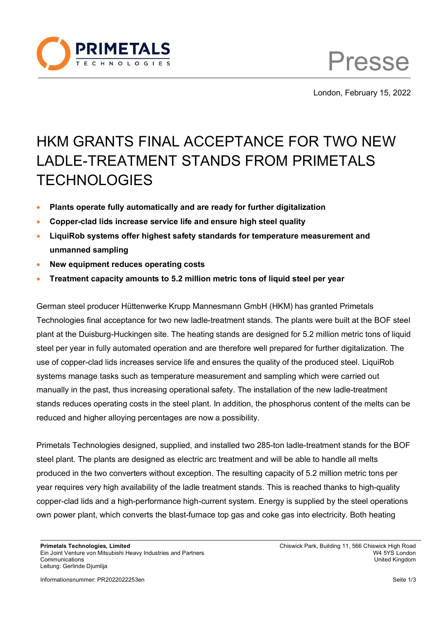

Presse

London, February 15, 2022

## HKM GRANTS FINAL ACCEPTANCE FOR TWO NEW LADLE-TREATMENT STANDS FROM PRIMETALS **TECHNOLOGIES**

- **Plants operate fully automatically and are ready for further digitalization**
- **Copper-clad lids increase service life and ensure high steel quality**
- **LiquiRob systems offer highest safety standards for temperature measurement and unmanned sampling**
- **New equipment reduces operating costs**
- **Treatment capacity amounts to 5.2 million metric tons of liquid steel per year**

German steel producer Hüttenwerke Krupp Mannesmann GmbH (HKM) has granted Primetals Technologies final acceptance for two new ladle-treatment stands. The plants were built at the BOF steel plant at the Duisburg-Huckingen site. The heating stands are designed for 5.2 million metric tons of liquid steel per year in fully automated operation and are therefore well prepared for further digitalization. The use of copper-clad lids increases service life and ensures the quality of the produced steel. LiquiRob systems manage tasks such as temperature measurement and sampling which were carried out manually in the past, thus increasing operational safety. The installation of the new ladle-treatment stands reduces operating costs in the steel plant. In addition, the phosphorus content of the melts can be reduced and higher alloying percentages are now a possibility.

Primetals Technologies designed, supplied, and installed two 285-ton ladle-treatment stands for the BOF steel plant. The plants are designed as electric arc treatment and will be able to handle all melts produced in the two converters without exception. The resulting capacity of 5.2 million metric tons per year requires very high availability of the ladle treatment stands. This is reached thanks to high-quality copper-clad lids and a high-performance high-current system. Energy is supplied by the steel operations own power plant, which converts the blast-furnace top gas and coke gas into electricity. Both heating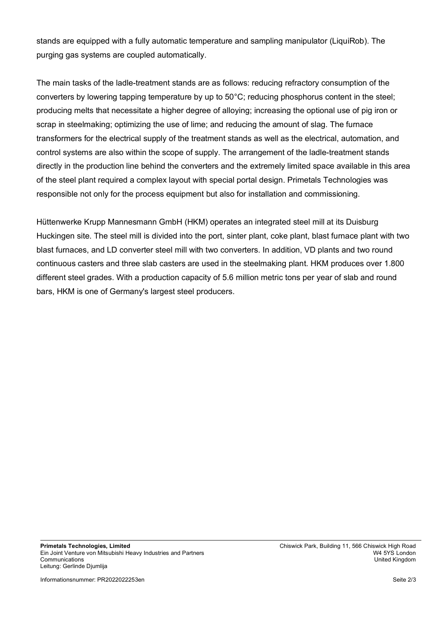stands are equipped with a fully automatic temperature and sampling manipulator (LiquiRob). The purging gas systems are coupled automatically.

The main tasks of the ladle-treatment stands are as follows: reducing refractory consumption of the converters by lowering tapping temperature by up to 50°C; reducing phosphorus content in the steel; producing melts that necessitate a higher degree of alloying; increasing the optional use of pig iron or scrap in steelmaking; optimizing the use of lime; and reducing the amount of slag. The furnace transformers for the electrical supply of the treatment stands as well as the electrical, automation, and control systems are also within the scope of supply. The arrangement of the ladle-treatment stands directly in the production line behind the converters and the extremely limited space available in this area of the steel plant required a complex layout with special portal design. Primetals Technologies was responsible not only for the process equipment but also for installation and commissioning.

Hüttenwerke Krupp Mannesmann GmbH (HKM) operates an integrated steel mill at its Duisburg Huckingen site. The steel mill is divided into the port, sinter plant, coke plant, blast furnace plant with two blast furnaces, and LD converter steel mill with two converters. In addition, VD plants and two round continuous casters and three slab casters are used in the steelmaking plant. HKM produces over 1.800 different steel grades. With a production capacity of 5.6 million metric tons per year of slab and round bars, HKM is one of Germany's largest steel producers.